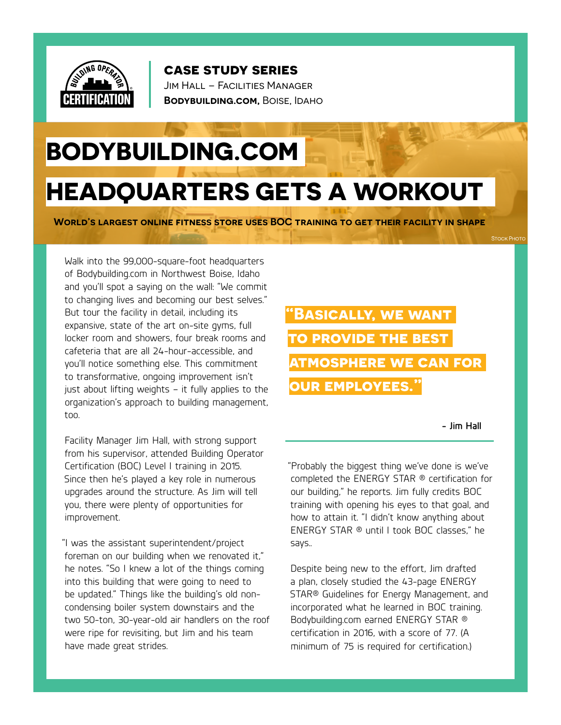

**case study series**

Jim Hall – Facilities Manager **Bodybuilding.com,** Boise, Idaho

## **BODYBUILDING.COM**

## **HEADQUARTERS GETS A WORKOUT**

**World's largest online fitness store uses BOC training to get their facility in shape**

Walk into the 99,000-square-foot headquarters of Bodybuilding.com in Northwest Boise, Idaho and you'll spot a saying on the wall: "We commit to changing lives and becoming our best selves." But tour the facility in detail, including its expansive, state of the art on-site gyms, full locker room and showers, four break rooms and cafeteria that are all 24-hour-accessible, and you'll notice something else. This commitment to transformative, ongoing improvement isn't just about lifting weights – it fully applies to the organization's approach to building management, too.

Facility Manager Jim Hall, with strong support from his supervisor, attended Building Operator Certification (BOC) Level I training in 2015. Since then he's played a key role in numerous upgrades around the structure. As Jim will tell you, there were plenty of opportunities for improvement.

"I was the assistant superintendent/project foreman on our building when we renovated it," he notes. "So I knew a lot of the things coming into this building that were going to need to be updated." Things like the building's old noncondensing boiler system downstairs and the two 50-ton, 30-year-old air handlers on the roof were ripe for revisiting, but Jim and his team have made great strides.

**"Basically, we want to provide the best atmosphere we can for our employees."**

**- Jim Hall**

STOCK PHOTO

"Probably the biggest thing we've done is we've completed the ENERGY STAR ® certification for our building," he reports. Jim fully credits BOC training with opening his eyes to that goal, and how to attain it. "I didn't know anything about ENERGY STAR ® until I took BOC classes," he says..

Despite being new to the effort, Jim drafted a plan, closely studied the 43-page ENERGY STAR® Guidelines for Energy Management, and incorporated what he learned in BOC training. Bodybuilding.com earned ENERGY STAR ® certification in 2016, with a score of 77. (A minimum of 75 is required for certification.)